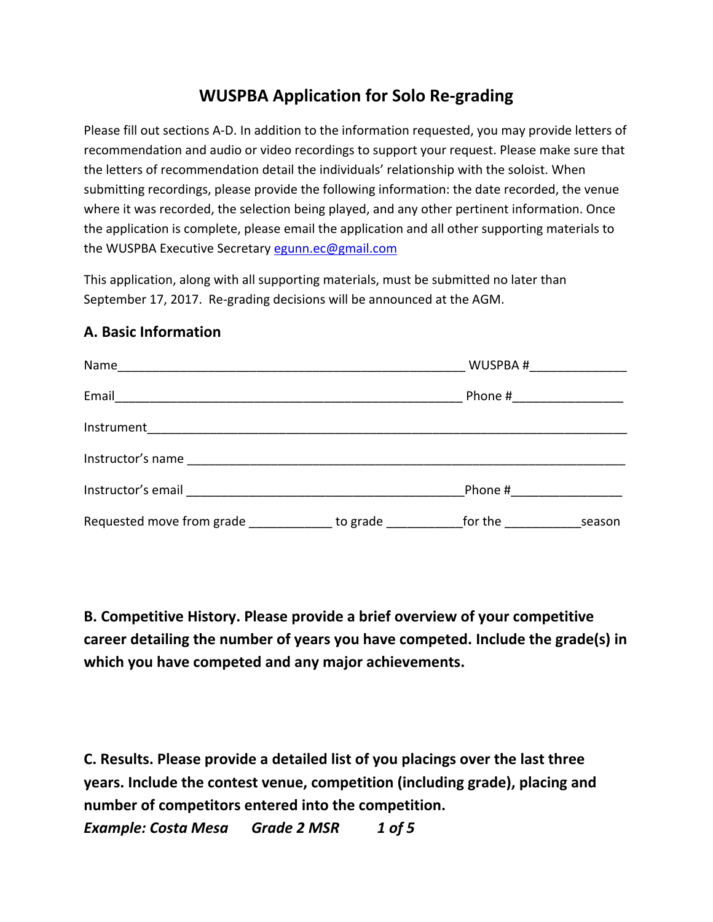## **WUSPBA Application for Solo Re-grading**

Please fill out sections A-D. In addition to the information requested, you may provide letters of recommendation and audio or video recordings to support your request. Please make sure that the letters of recommendation detail the individuals' relationship with the soloist. When submitting recordings, please provide the following information: the date recorded, the venue where it was recorded, the selection being played, and any other pertinent information. Once the application is complete, please email the application and all other supporting materials to the WUSPBA Executive Secretary egunn.ec@gmail.com

This application, along with all supporting materials, must be submitted no later than September 17, 2017. Re-grading decisions will be announced at the AGM.

## **A. Basic Information**



**B. Competitive History. Please provide a brief overview of your competitive career detailing the number of years you have competed. Include the grade(s) in which you have competed and any major achievements.** 

**C. Results. Please provide a detailed list of you placings over the last three years. Include the contest venue, competition (including grade), placing and number of competitors entered into the competition.**  *Example: Costa Mesa Grade 2 MSR 1 of 5*